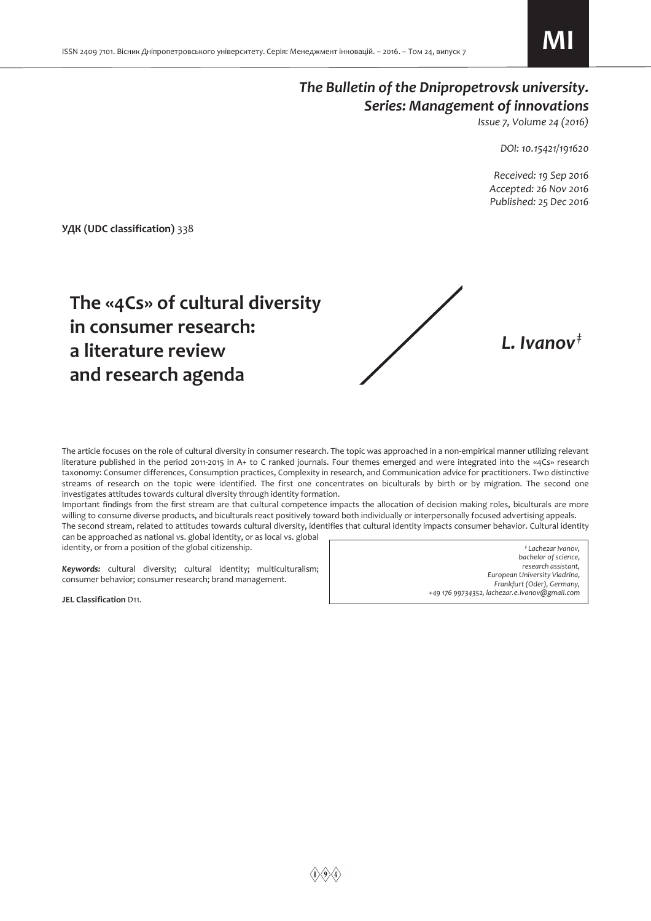# *The Bulletin of the Dnipropetrovsk university. Series: Management of innovations*

*Issue 7, Volume 24 (2016)* 

*DOI: 10.15421/191620* 

 *Received: 19 Sep 2016 Accepted: 26 Nov 2016 Published: 25 Dec 2016* 

**УДК (UDC classification)** 338



The article focuses on the role of cultural diversity in consumer research. The topic was approached in a non-empirical manner utilizing relevant literature published in the period 2011-2015 in A+ to C ranked journals. Four themes emerged and were integrated into the «4Cs» research taxonomy: Consumer differences, Consumption practices, Complexity in research, and Communication advice for practitioners. Two distinctive streams of research on the topic were identified. The first one concentrates on biculturals by birth or by migration. The second one investigates attitudes towards cultural diversity through identity formation.

Important findings from the first stream are that cultural competence impacts the allocation of decision making roles, biculturals are more willing to consume diverse products, and biculturals react positively toward both individually or interpersonally focused advertising appeals. The second stream, related to attitudes towards cultural diversity, identifies that cultural identity impacts consumer behavior. Cultural identity can be approached as national vs. global identity, or as local vs. global

identity, or from a position of the global citizenship.

*Keywords:* cultural diversity; cultural identity; multiculturalism; consumer behavior; consumer research; brand management.

**JEL Classification** D11.

*‡ Lachezar Ivanov, bachelor of science, research assistant, European University Viadrina, Frankfurt (Oder), Germany, +49 176 99734352, lachezar.e.ivanov@gmail.com*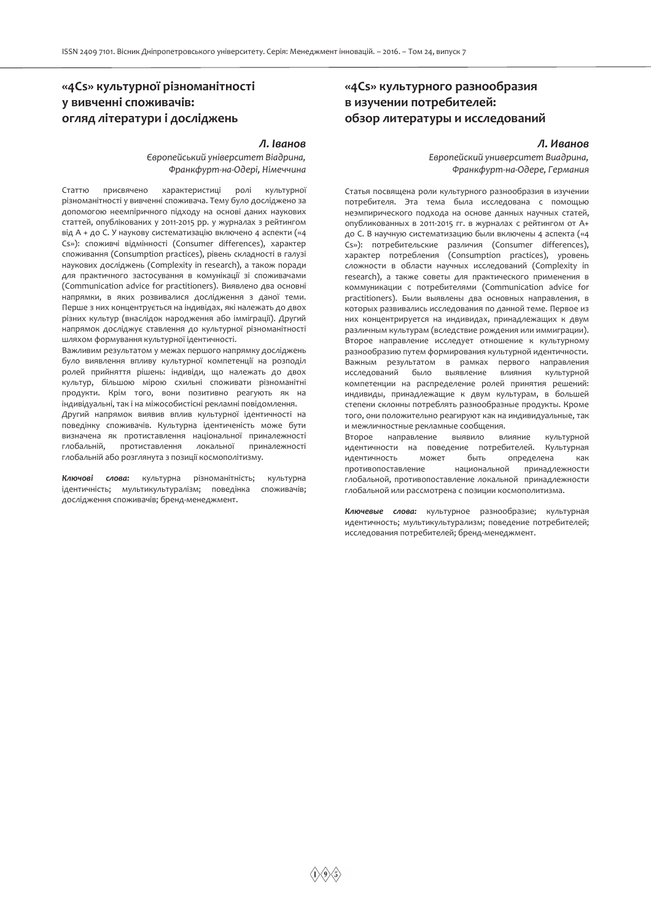## **«4Cs» культурної різноманітності у вивченні споживачів: огляд літератури і досліджень**

#### *Л. Іванов*

*Європейський університет Віадрина, Франкфурт-на-Одері, Німеччина*

Статтю присвячено характеристиці ролі культурної різноманітності у вивченні споживача. Тему було досліджено за допомогою неемпіричного підходу на основі даних наукових статтей, опублікованих у 2011-2015 рр. у журналах з рейтингом від A + до C. У наукову систематизацію включено 4 аспекти («4 Cs»): споживчі відмінності (Consumer differences), характер споживання (Consumption practices), рівень складності в галузі наукових досліджень (Complexity in research), а також поради для практичного застосування в комунікації зі споживачами (Communication advice for practitioners). Виявлено два основні напрямки, в яких розвивалися дослідження з даної теми. Перше з них концентрується на індивідах, які належать до двох різних культур (внаслідок народження або імміграції). Другий напрямок досліджує ставлення до культурної різноманітності шляхом формування культурної ідентичності.

Важливим результатом у межах першого напрямку досліджень було виявлення впливу культурної компетенції на розподіл ролей прийняття рішень: індивіди, що належать до двох культур, більшою мірою схильні споживати різноманітні продукти. Крім того, вони позитивно реагують як на індивідуальні, так і на міжособистісні рекламні повідомлення.

Другий напрямок виявив вплив культурної ідентичності на поведінку споживачів. Культурна ідентиченість може бути визначена як протиставлення національної приналежності глобальній, протиставлення локальної приналежності глобальній або розглянута з позиції космополітизму.

*Ключові слова:* культурна різноманітність; культурна ідентичність; мультикультуралізм; поведінка споживачів; дослідження споживачів; бренд-менеджмент.

## **«4Cs» культурного разнообразия в изучении потребителей: обзор литературы и исследований**

#### *Л. Иванов*

*Европейский университет Виадрина, Франкфурт-на-Одере, Германия*

Статья посвящена роли культурного разнообразия в изучении потребителя. Эта тема была исследована с помощью неэмпирического подхода на основе данных научных статей, опубликованных в 2011-2015 гг. в журналах с рейтингом от A+ до C. В научную систематизацию были включены 4 аспекта («4 Cs»): потребительские различия (Consumer differences), характер потребления (Consumption practices), уровень сложности в области научных исследований (Complexity in research), а также советы для практического применения в коммуникации с потребителями (Communication advice for practitioners). Были выявлены два основных направления, в которых развивались исследования по данной теме. Первое из них концентрируется на индивидах, принадлежащих к двум различным культурам (вследствие рождения или иммиграции). Второе направление исследует отношение к культурному разнообразию путем формирования культурной идентичности. Важным результатом в рамках первого направления исследований было выявление влияния культурной компетенции на распределение ролей принятия решений: индивиды, принадлежащие к двум культурам, в большей степени склонны потреблять разнообразные продукты. Кроме того, они положительно реагируют как на индивидуальные, так и межличностные рекламные сообщения.

Второе направление выявило влияние культурной идентичности на поведение потребителей. Культурная идентичность может быть определена как противопоставление национальной принадлежности глобальной, противопоставление локальной принадлежности глобальной или рассмотрена с позиции космополитизма.

*Ключевые слова:* культурное разнообразие; культурная идентичность; мультикультурализм; поведение потребителей; исследования потребителей; бренд-менеджмент.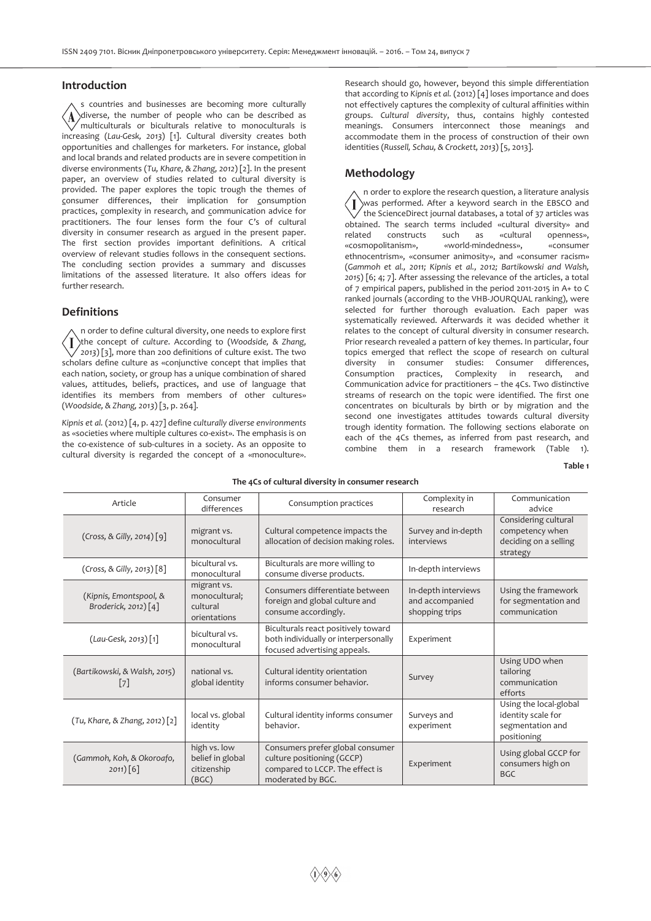### **Introduction**

s countries and businesses are becoming more culturally  $\langle \Lambda \rangle$ diverse, the number of people who can be described as multiculturals or biculturals relative to monoculturals is increasing (*Lau-Gesk, 2013*) [1]. Cultural diversity creates both opportunities and challenges for marketers. For instance, global and local brands and related products are in severe competition in diverse environments (*Tu, Khare, & Zhang, 2012*) [2]. In the present paper, an overview of studies related to cultural diversity is provided. The paper explores the topic trough the themes of consumer differences, their implication for consumption practices, complexity in research, and communication advice for practitioners. The four lenses form the four C's of cultural diversity in consumer research as argued in the present paper. The first section provides important definitions. A critical overview of relevant studies follows in the consequent sections. The concluding section provides a summary and discusses limitations of the assessed literature. It also offers ideas for further research.

### **Definitions**

n order to define cultural diversity, one needs to explore first the concept of *culture*. According to (*Woodside, & Zhang,*  7 ∕ *2013*) [3], more than 200 definitions of culture exist. The two scholars define culture as «conjunctive concept that implies that each nation, society, or group has a unique combination of shared values, attitudes, beliefs, practices, and use of language that identifies its members from members of other cultures» (*Woodside, & Zhang, 2013*) [3, p. 264].

*Kipnis et al.* (2012) [4, p. 427] define *culturally diverse environments* as «societies where multiple cultures co-exist». The emphasis is on the co-existence of sub-cultures in a society. As an opposite to cultural diversity is regarded the concept of a «monoculture».

Research should go, however, beyond this simple differentiation that according to *Kipnis et al.* (2012) [4] loses importance and does not effectively captures the complexity of cultural affinities within groups. *Cultural diversity*, thus, contains highly contested meanings. Consumers interconnect those meanings and accommodate them in the process of construction of their own identities (*Russell, Schau, & Crockett, 2013*) [5, 2013].

## **Methodology**

n order to explore the research question, a literature analysis was performed. After a keyword search in the EBSCO and the ScienceDirect journal databases, a total of 37 articles was obtained. The search terms included «cultural diversity» and related constructs such as «cultural openness», «cosmopolitanism», «world-mindedness», «consumer ethnocentrism», «consumer animosity», and «consumer racism» (*Gammoh et al., 2011; Kipnis et al., 2012; Bartikowski and Walsh, 2015*) [6; 4; 7]. After assessing the relevance of the articles, a total of 7 empirical papers, published in the period 2011-2015 in A+ to C ranked journals (according to the VHB-JOURQUAL ranking), were selected for further thorough evaluation. Each paper was systematically reviewed. Afterwards it was decided whether it relates to the concept of cultural diversity in consumer research. Prior research revealed a pattern of key themes. In particular, four topics emerged that reflect the scope of research on cultural diversity in consumer studies: Consumer differences, Consumption practices, Complexity in research, and Communication advice for practitioners – the 4Cs. Two distinctive streams of research on the topic were identified. The first one concentrates on biculturals by birth or by migration and the second one investigates attitudes towards cultural diversity trough identity formation. The following sections elaborate on each of the 4Cs themes, as inferred from past research, and combine them in a research framework (Table 1).

**Table 1** 

| Article                                           | Consumer<br>differences                                  | Consumption practices                                                                                                  | Complexity in<br>research                                | Communication<br>advice                                                         |
|---------------------------------------------------|----------------------------------------------------------|------------------------------------------------------------------------------------------------------------------------|----------------------------------------------------------|---------------------------------------------------------------------------------|
| (Cross, & Gilly, 2014) [9]                        | migrant vs.<br>monocultural                              | Cultural competence impacts the<br>allocation of decision making roles.                                                | Survey and in-depth<br>interviews                        | Considering cultural<br>competency when<br>deciding on a selling<br>strategy    |
| (Cross, & Gilly, 2013) [8]                        | bicultural vs.<br>monocultural                           | Biculturals are more willing to<br>consume diverse products.                                                           | In-depth interviews                                      |                                                                                 |
| (Kipnis, Emontspool, &<br>Broderick, 2012) $[4]$  | migrant vs.<br>monocultural;<br>cultural<br>orientations | Consumers differentiate between<br>foreign and global culture and<br>consume accordingly.                              | In-depth interviews<br>and accompanied<br>shopping trips | Using the framework<br>for segmentation and<br>communication                    |
| $(Lau-Gesk, 2013)$ [1]                            | bicultural vs.<br>monocultural                           | Biculturals react positively toward<br>both individually or interpersonally<br>focused advertising appeals.            | Experiment                                               |                                                                                 |
| (Bartikowski, & Walsh, 2015)<br>$\lceil 7 \rceil$ | national vs.<br>global identity                          | Cultural identity orientation<br>informs consumer behavior.                                                            | Survey                                                   | Using UDO when<br>tailoring<br>communication<br>efforts                         |
| (Tu, Khare, & Zhang, 2012) [2]                    | local vs. global<br>identity                             | Cultural identity informs consumer<br>behavior.                                                                        | Surveys and<br>experiment                                | Using the local-global<br>identity scale for<br>segmentation and<br>positioning |
| (Gammoh, Koh, & Okoroafo,<br>2011)[6]             | high vs. low<br>belief in global<br>citizenship<br>(BGC) | Consumers prefer global consumer<br>culture positioning (GCCP)<br>compared to LCCP. The effect is<br>moderated by BGC. | Experiment                                               | Using global GCCP for<br>consumers high on<br>BGC.                              |

#### **The 4Cs of cultural diversity in consumer research**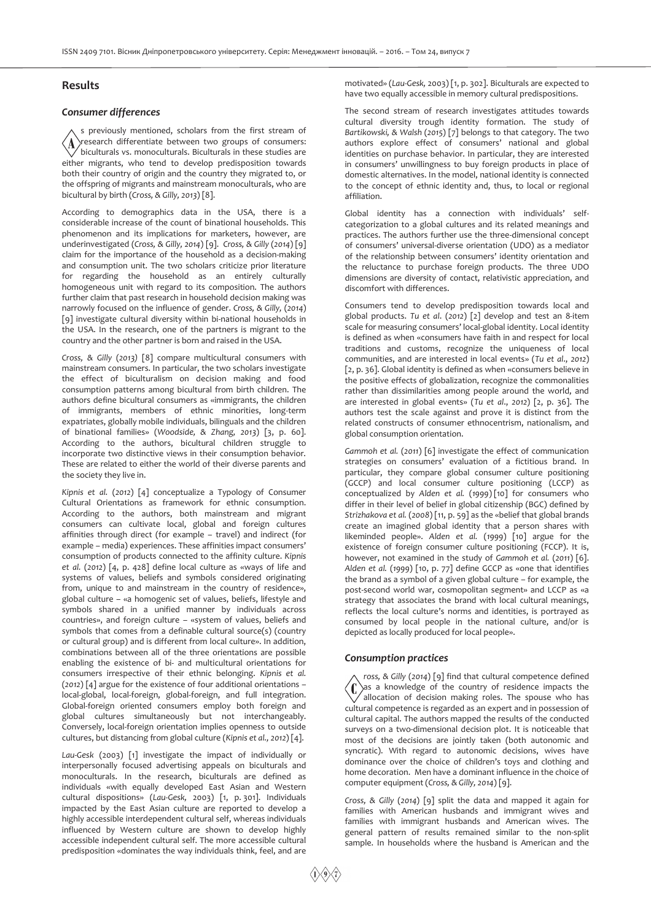## **Results**

### *Consumer differences*

s previously mentioned, scholars from the first stream of research differentiate between two groups of consumers:  $\langle \text{A}$ biculturals vs. monoculturals. Biculturals in these studies are either migrants, who tend to develop predisposition towards both their country of origin and the country they migrated to, or the offspring of migrants and mainstream monoculturals, who are bicultural by birth (*Cross, & Gilly, 2013*) [8].

According to demographics data in the USA, there is a considerable increase of the count of binational households. This phenomenon and its implications for marketers, however, are underinvestigated (*Cross, & Gilly, 2014*) [9]. *Cross, & Gilly* (*2014*) [9] claim for the importance of the household as a decision-making and consumption unit. The two scholars criticize prior literature for regarding the household as an entirely culturally homogeneous unit with regard to its composition. The authors further claim that past research in household decision making was narrowly focused on the influence of gender. *Cross, & Gilly,* (*2014*) [9] investigate cultural diversity within bi-national households in the USA. In the research, one of the partners is migrant to the country and the other partner is born and raised in the USA.

*Cross, & Gilly* (*2013)* [8] compare multicultural consumers with mainstream consumers. In particular, the two scholars investigate the effect of biculturalism on decision making and food consumption patterns among bicultural from birth children. The authors define bicultural consumers as «immigrants, the children of immigrants, members of ethnic minorities, long-term expatriates, globally mobile individuals, bilinguals and the children of binational families» (*Woodside, & Zhang, 2013*) [3, p. 60]. According to the authors, bicultural children struggle to incorporate two distinctive views in their consumption behavior. These are related to either the world of their diverse parents and the society they live in.

*Kipnis et al.* (*2012*) [4] conceptualize a Typology of Consumer Cultural Orientations as framework for ethnic consumption. According to the authors, both mainstream and migrant consumers can cultivate local, global and foreign cultures affinities through direct (for example – travel) and indirect (for example – media) experiences. These affinities impact consumers' consumption of products connected to the affinity culture. *Kipnis et al.* (*2012*) [4, p. 428] define local culture as «ways of life and systems of values, beliefs and symbols considered originating from, unique to and mainstream in the country of residence», global culture – «a homogenic set of values, beliefs, lifestyle and symbols shared in a unified manner by individuals across countries», and foreign culture – «system of values, beliefs and symbols that comes from a definable cultural source(s) (country or cultural group) and is different from local culture». In addition, combinations between all of the three orientations are possible enabling the existence of bi- and multicultural orientations for consumers irrespective of their ethnic belonging. *Kipnis et al.*  (*2012*) [4] argue for the existence of four additional orientations – local-global, local-foreign, global-foreign, and full integration. Global-foreign oriented consumers employ both foreign and global cultures simultaneously but not interchangeably. Conversely, local-foreign orientation implies openness to outside cultures, but distancing from global culture (*Kipnis et al., 2012*) [4].

*Lau-Gesk* (2003) [1] investigate the impact of individually or interpersonally focused advertising appeals on biculturals and monoculturals. In the research, biculturals are defined as individuals «with equally developed East Asian and Western cultural dispositions» (*Lau-Gesk,* 2003) [1, p. 301]. Individuals impacted by the East Asian culture are reported to develop a highly accessible interdependent cultural self, whereas individuals influenced by Western culture are shown to develop highly accessible independent cultural self. The more accessible cultural predisposition «dominates the way individuals think, feel, and are motivated» (*Lau-Gesk,* 2003) [1, p. 302]. Biculturals are expected to have two equally accessible in memory cultural predispositions.

The second stream of research investigates attitudes towards cultural diversity trough identity formation. The study of *Bartikowski, & Walsh* (*2015*) [7] belongs to that category. The two authors explore effect of consumers' national and global identities on purchase behavior. In particular, they are interested in consumers' unwillingness to buy foreign products in place of domestic alternatives. In the model, national identity is connected to the concept of ethnic identity and, thus, to local or regional affiliation.

Global identity has a connection with individuals' selfcategorization to a global cultures and its related meanings and practices. The authors further use the three-dimensional concept of consumers' universal-diverse orientation (UDO) as a mediator of the relationship between consumers' identity orientation and the reluctance to purchase foreign products. The three UDO dimensions are diversity of contact, relativistic appreciation, and discomfort with differences.

Consumers tend to develop predisposition towards local and global products. *Tu et al*. (*2012*) [2] develop and test an 8-item scale for measuring consumers' local-global identity. Local identity is defined as when «consumers have faith in and respect for local traditions and customs, recognize the uniqueness of local communities, and are interested in local events» (*Tu et al*., *2012*) [2, p. 36]. Global identity is defined as when «consumers believe in the positive effects of globalization, recognize the commonalities rather than dissimilarities among people around the world, and are interested in global events» (*Tu et al*., *2012*) [2, p. 36]. The authors test the scale against and prove it is distinct from the related constructs of consumer ethnocentrism, nationalism, and global consumption orientation.

*Gammoh et al.* (*2011*) [6] investigate the effect of communication strategies on consumers' evaluation of a fictitious brand. In particular, they compare global consumer culture positioning (GCCP) and local consumer culture positioning (LCCP) as conceptualized by *Alden et al.* (*1999*) [10] for consumers who differ in their level of belief in global citizenship (BGC) defined by *Strizhakova et al.* (*2008*) [11, p. 59] as the «belief that global brands create an imagined global identity that a person shares with likeminded people». *Alden et al.* (*1999*) [10] argue for the existence of foreign consumer culture positioning (FCCP). It is, however, not examined in the study of *Gammoh et al.* (*2011*) [6]. *Alden et al.* (*1999*) [10, p. 77] define GCCP as «one that identifies the brand as a symbol of a given global culture – for example, the post-second world war, cosmopolitan segment» and LCCP as «a strategy that associates the brand with local cultural meanings, reflects the local culture's norms and identities, is portrayed as consumed by local people in the national culture, and/or is depicted as locally produced for local people».

#### *Consumption practices*

*ross, & Gilly* (*2014*) [9] find that cultural competence defined  $\left( 0\right)$ as a knowledge of the country of residence impacts the allocation of decision making roles. The spouse who has cultural competence is regarded as an expert and in possession of cultural capital. The authors mapped the results of the conducted surveys on a two-dimensional decision plot. It is noticeable that most of the decisions are jointly taken (both autonomic and syncratic). With regard to autonomic decisions, wives have dominance over the choice of children's toys and clothing and home decoration. Men have a dominant influence in the choice of computer equipment (*Cross, & Gilly, 2014*) [9].

*Cross, & Gilly* (*2014*) [9] split the data and mapped it again for families with American husbands and immigrant wives and families with immigrant husbands and American wives. The general pattern of results remained similar to the non-split sample. In households where the husband is American and the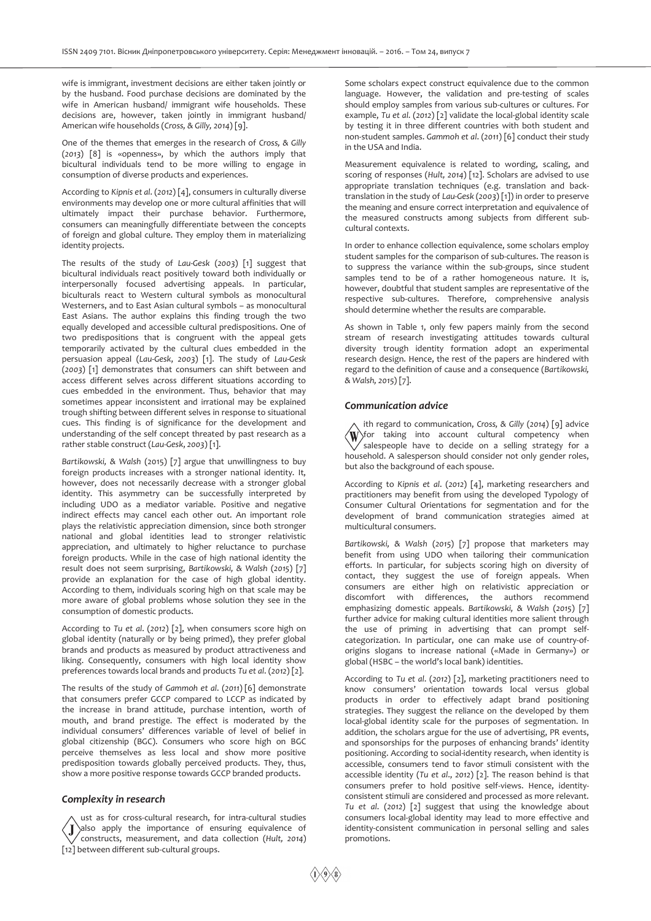wife is immigrant, investment decisions are either taken jointly or by the husband. Food purchase decisions are dominated by the wife in American husband/ immigrant wife households. These decisions are, however, taken jointly in immigrant husband/ American wife households (*Cross, & Gilly, 2014*) [9].

One of the themes that emerges in the research of *Cross, & Gilly*  (*2013*) [8] is «openness», by which the authors imply that bicultural individuals tend to be more willing to engage in consumption of diverse products and experiences.

According to *Kipnis et al*. (*2012*) [4], consumers in culturally diverse environments may develop one or more cultural affinities that will ultimately impact their purchase behavior. Furthermore, consumers can meaningfully differentiate between the concepts of foreign and global culture. They employ them in materializing identity projects.

The results of the study of *Lau-Gesk* (*2003*) [1] suggest that bicultural individuals react positively toward both individually or interpersonally focused advertising appeals. In particular, biculturals react to Western cultural symbols as monocultural Westerners, and to East Asian cultural symbols – as monocultural East Asians. The author explains this finding trough the two equally developed and accessible cultural predispositions. One of two predispositions that is congruent with the appeal gets temporarily activated by the cultural clues embedded in the persuasion appeal (*Lau-Gesk*, *2003*) [1]. The study of *Lau-Gesk* (*2003*) [1] demonstrates that consumers can shift between and access different selves across different situations according to cues embedded in the environment. Thus, behavior that may sometimes appear inconsistent and irrational may be explained trough shifting between different selves in response to situational cues. This finding is of significance for the development and understanding of the self concept threated by past research as a rather stable construct (*Lau-Gesk*, *2003*) [1].

*Bartikowski, & Walsh* (2015) [7] argue that unwillingness to buy foreign products increases with a stronger national identity. It, however, does not necessarily decrease with a stronger global identity. This asymmetry can be successfully interpreted by including UDO as a mediator variable. Positive and negative indirect effects may cancel each other out. An important role plays the relativistic appreciation dimension, since both stronger national and global identities lead to stronger relativistic appreciation, and ultimately to higher reluctance to purchase foreign products. While in the case of high national identity the result does not seem surprising, *Bartikowski, & Walsh* (*2015*) [7] provide an explanation for the case of high global identity. According to them, individuals scoring high on that scale may be more aware of global problems whose solution they see in the consumption of domestic products.

According to *Tu et al*. (*2012*) [2], when consumers score high on global identity (naturally or by being primed), they prefer global brands and products as measured by product attractiveness and liking. Consequently, consumers with high local identity show preferences towards local brands and products *Tu et al*. (*2012*) [2].

The results of the study of *Gammoh et al*. (*2011*) [6] demonstrate that consumers prefer GCCP compared to LCCP as indicated by the increase in brand attitude, purchase intention, worth of mouth, and brand prestige. The effect is moderated by the individual consumers' differences variable of level of belief in global citizenship (BGC). Consumers who score high on BGC perceive themselves as less local and show more positive predisposition towards globally perceived products. They, thus, show a more positive response towards GCCP branded products.

#### *Complexity in research*

ust as for cross-cultural research, for intra-cultural studies  $\sum_{i=1}^{\infty}$  apply the importance of ensuring equivalence of constructs, measurement, and data collection (*Hult, 2014*) [12] between different sub-cultural groups.

Some scholars expect construct equivalence due to the common language. However, the validation and pre-testing of scales should employ samples from various sub-cultures or cultures. For example, *Tu et al*. (*2012*) [2] validate the local-global identity scale by testing it in three different countries with both student and non-student samples. *Gammoh et al*. (*2011*) [6] conduct their study in the USA and India.

Measurement equivalence is related to wording, scaling, and scoring of responses (*Hult, 2014*) [12]. Scholars are advised to use appropriate translation techniques (e.g. translation and backtranslation in the study of *Lau-Gesk* (*2003*) [1]) in order to preserve the meaning and ensure correct interpretation and equivalence of the measured constructs among subjects from different subcultural contexts.

In order to enhance collection equivalence, some scholars employ student samples for the comparison of sub-cultures. The reason is to suppress the variance within the sub-groups, since student samples tend to be of a rather homogeneous nature. It is, however, doubtful that student samples are representative of the respective sub-cultures. Therefore, comprehensive analysis should determine whether the results are comparable.

As shown in Table 1, only few papers mainly from the second stream of research investigating attitudes towards cultural diversity trough identity formation adopt an experimental research design. Hence, the rest of the papers are hindered with regard to the definition of cause and a consequence (*Bartikowski, & Walsh, 2015*) [7].

## *Communication advice*

ith regard to communication, *Cross, & Gilly* (*2014*) [9] advice  $\langle \mathrm{W} \rangle$ for taking into account cultural competency when salespeople have to decide on a selling strategy for a household. A salesperson should consider not only gender roles, but also the background of each spouse.

According to *Kipnis et al*. (*2012*) [4], marketing researchers and practitioners may benefit from using the developed Typology of Consumer Cultural Orientations for segmentation and for the development of brand communication strategies aimed at multicultural consumers.

*Bartikowski, & Walsh* (*2015*) [7] propose that marketers may benefit from using UDO when tailoring their communication efforts. In particular, for subjects scoring high on diversity of contact, they suggest the use of foreign appeals. When consumers are either high on relativistic appreciation or discomfort with differences, the authors recommend emphasizing domestic appeals. *Bartikowski, & Walsh* (*2015*) [7] further advice for making cultural identities more salient through the use of priming in advertising that can prompt selfcategorization. In particular, one can make use of country-oforigins slogans to increase national («Made in Germany») or global (HSBC – the world's local bank) identities.

According to *Tu et al*. (*2012*) [2], marketing practitioners need to know consumers' orientation towards local versus global products in order to effectively adapt brand positioning strategies. They suggest the reliance on the developed by them local-global identity scale for the purposes of segmentation. In addition, the scholars argue for the use of advertising, PR events, and sponsorships for the purposes of enhancing brands' identity positioning. According to social-identity research, when identity is accessible, consumers tend to favor stimuli consistent with the accessible identity (*Tu et al*., *2012*) [2]. The reason behind is that consumers prefer to hold positive self-views. Hence, identityconsistent stimuli are considered and processed as more relevant. *Tu et al*. (*2012*) [2] suggest that using the knowledge about consumers local-global identity may lead to more effective and identity-consistent communication in personal selling and sales promotions.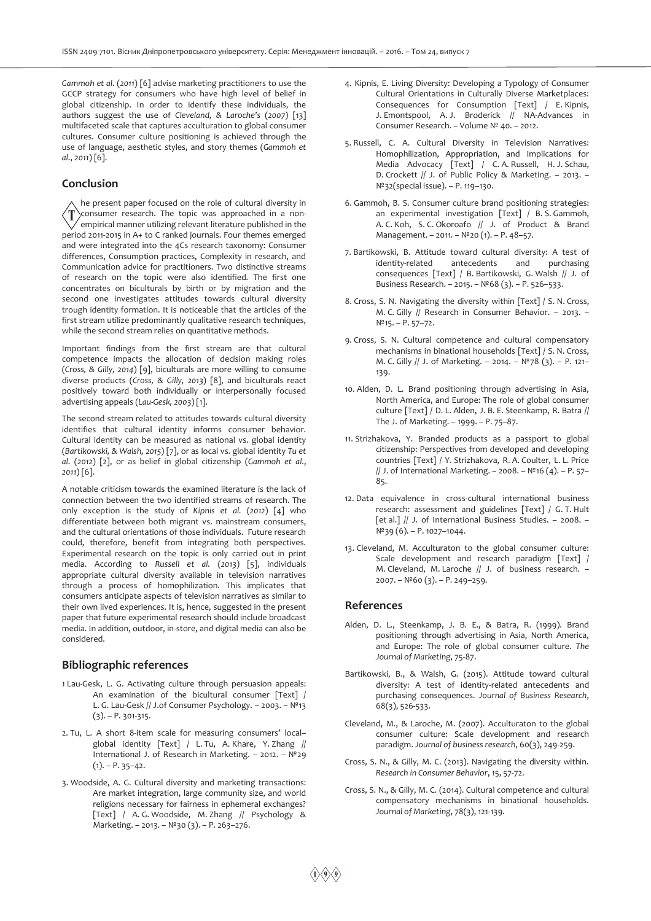*Gammoh et al*. (*2011*) [6] advise marketing practitioners to use the GCCP strategy for consumers who have high level of belief in global citizenship. In order to identify these individuals, the authors suggest the use of *Cleveland, & Laroche's* (*2007*) [13] multifaceted scale that captures acculturation to global consumer cultures. Consumer culture positioning is achieved through the use of language, aesthetic styles, and story themes (*Gammoh et al*., *2011*) [6].

## **Conclusion**

he present paper focused on the role of cultural diversity in ′T consumer research. The topic was approached in a non- $^{\prime}$  empirical manner utilizing relevant literature published in the period 2011-2015 in A+ to C ranked journals. Four themes emerged and were integrated into the 4Cs research taxonomy: Consumer differences, Consumption practices, Complexity in research, and Communication advice for practitioners. Two distinctive streams of research on the topic were also identified. The first one concentrates on biculturals by birth or by migration and the second one investigates attitudes towards cultural diversity trough identity formation. It is noticeable that the articles of the first stream utilize predominantly qualitative research techniques, while the second stream relies on quantitative methods.

Important findings from the first stream are that cultural competence impacts the allocation of decision making roles (*Cross, & Gilly, 2014*) [9], biculturals are more willing to consume diverse products (*Cross, & Gilly, 2013*) [8], and biculturals react positively toward both individually or interpersonally focused advertising appeals (*Lau-Gesk, 2003*) [1].

The second stream related to attitudes towards cultural diversity identifies that cultural identity informs consumer behavior. Cultural identity can be measured as national vs. global identity (*Bartikowski, & Walsh, 2015*) [7], or as local vs. global identity *Tu et al*. (*2012*) [2], or as belief in global citizenship (*Gammoh et al*., *2011*) [6].

A notable criticism towards the examined literature is the lack of connection between the two identified streams of research. The only exception is the study of *Kipnis et al.* (*2012*) [4] who differentiate between both migrant vs. mainstream consumers, and the cultural orientations of those individuals. Future research could, therefore, benefit from integrating both perspectives. Experimental research on the topic is only carried out in print media. According to *Russell et al.* (*2013*) [5], individuals appropriate cultural diversity available in television narratives through a process of homophilization. This implicates that consumers anticipate aspects of television narratives as similar to their own lived experiences. It is, hence, suggested in the present paper that future experimental research should include broadcast media. In addition, outdoor, in-store, and digital media can also be considered.

## **Bibliographic references**

- 1 Lau-Gesk, L. G. Activating culture through persuasion appeals: An examination of the bicultural consumer [Text] / L. G. Lau-Gesk // J.of Consumer Psychology. – 2003. – №13  $(3) - P. 301 - 315.$
- 2. Tu, L. A short 8-item scale for measuring consumers' local– global identity [Text] / L. Tu, A. Khare, Y. Zhang // International J. of Research in Marketing. – 2012. – №29  $(1) - P. 35 - 42.$
- 3. Woodside, A. G. Cultural diversity and marketing transactions: Are market integration, large community size, and world religions necessary for fairness in ephemeral exchanges? [Text] / A. G. Woodside, M. Zhang // Psychology & Marketing. – 2013. – №30 (3). – P. 263–276.
- 4. Kipnis, E. Living Diversity: Developing a Typology of Consumer Cultural Orientations in Culturally Diverse Marketplaces: Consequences for Consumption [Text] / E. Kipnis, J. Emontspool, A. J. Broderick // NA-Advances in Consumer Research. – Volume № 40. – 2012.
- 5. Russell, C. A. Cultural Diversity in Television Narratives: Homophilization, Appropriation, and Implications for Media Advocacy [Text] / C. A. Russell, H. J. Schau, D. Crockett // J. of Public Policy & Marketing. – 2013. – №32(special issue). – P. 119–130.
- 6. Gammoh, B. S. Consumer culture brand positioning strategies: an experimental investigation [Text] / B. S. Gammoh, A. C. Koh, S. C. Okoroafo // J. of Product & Brand Management. – 2011. – №20 (1). – P. 48–57.
- 7. Bartikowski, B. Attitude toward cultural diversity: A test of identity-related antecedents and purchasing consequences [Text] / B. Bartikowski, G. Walsh // J. of Business Research. – 2015. – №68 (3). – P. 526–533.
- 8. Cross, S. N. Navigating the diversity within [Text] / S. N. Cross, M. C. Gilly // Research in Consumer Behavior. – 2013. – №15. – P. 57–72.
- 9. Cross, S. N. Cultural competence and cultural compensatory mechanisms in binational households [Text] / S. N. Cross, M. C. Gilly // J. of Marketing. – 2014. – №78 (3). – P. 121– 139.
- 10. Alden, D. L. Brand positioning through advertising in Asia, North America, and Europe: The role of global consumer culture [Text] / D. L. Alden, J. B. E. Steenkamp, R. Batra // The J. of Marketing. – 1999. – P. 75–87.
- 11. Strizhakova, Y. Branded products as a passport to global citizenship: Perspectives from developed and developing countries [Text] / Y. Strizhakova, R. A. Coulter, L. L. Price // J. of International Marketing. – 2008. – №16 (4). – P. 57– 85.
- 12. Data equivalence in cross-cultural international business research: assessment and guidelines [Text] / G. T. Hult [et al.] // J. of International Business Studies. – 2008. – №39 (6). – P. 1027–1044.
- 13. Cleveland, M. Acculturaton to the global consumer culture: Scale development and research paradigm [Text] / M. Cleveland, M. Laroche // J. of business research. – 2007. – №60 (3). – P. 249–259.

## **References**

- Alden, D. L., Steenkamp, J. B. E., & Batra, R. (1999). Brand positioning through advertising in Asia, North America, and Europe: The role of global consumer culture. *The Journal of Marketing*, 75-87.
- Bartikowski, B., & Walsh, G. (2015). Attitude toward cultural diversity: A test of identity-related antecedents and purchasing consequences. *Journal of Business Research*, 68(3), 526-533.
- Cleveland, M., & Laroche, M. (2007). Acculturaton to the global consumer culture: Scale development and research paradigm. *Journal of business research*, 60(3), 249-259.
- Cross, S. N., & Gilly, M. C. (2013). Navigating the diversity within. *Research in Consumer Behavior*, 15, 57-72.
- Cross, S. N., & Gilly, M. C. (2014). Cultural competence and cultural compensatory mechanisms in binational households. *Journal of Marketing*, 78(3), 121-139.